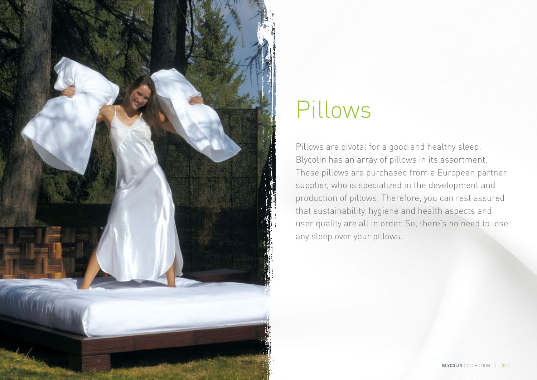

# Pillows

Pillows are pivotal for a good and healthy sleep. Blycolin has an array of pillows in its assortment. These pillows are purchased from a European partner supplier, who is specialized in the development and production of pillows. Therefore, you can rest assured that sustainability, hygiene and health aspects and user quality are all in order. So, there's no need to lose any sleep over your pillows.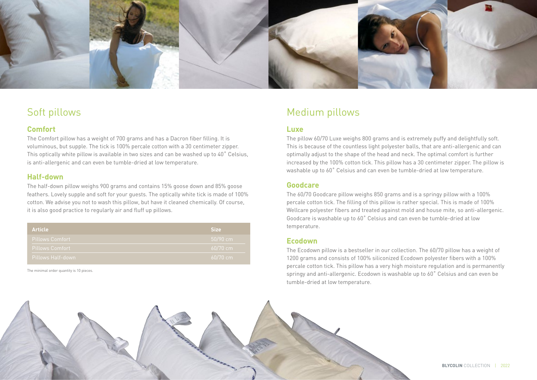

## Soft pillows

## **Comfort**

The Comfort pillow has a weight of 700 grams and has a Dacron fiber filling. It is voluminous, but supple. The tick is 100% percale cotton with a 30 centimeter zipper. This optically white pillow is available in two sizes and can be washed up to 40˚ Celsius, is anti-allergenic and can even be tumble-dried at low temperature.

## **Half-down**

The half-down pillow weighs 900 grams and contains 15% goose down and 85% goose feathers. Lovely supple and soft for your guests. The optically white tick is made of 100% cotton. We advise you not to wash this pillow, but have it cleaned chemically. Of course, it is also good practice to regularly air and fluff up pillows.

| <b>Article</b>         | <b>Size</b> |
|------------------------|-------------|
| <b>Pillows Comfort</b> | $50/90$ cm  |
| <b>Pillows Comfort</b> | $60/70$ cm  |
| Pillows Half-down      | $60/70$ cm  |

The minimal order quantity is 10 pieces.

# Medium pillows

#### **Luxe**

The pillow 60/70 Luxe weighs 800 grams and is extremely puffy and delightfully soft. This is because of the countless light polyester balls, that are anti-allergenic and can optimally adjust to the shape of the head and neck. The optimal comfort is further increased by the 100% cotton tick. This pillow has a 30 centimeter zipper. The pillow is washable up to 60˚ Celsius and can even be tumble-dried at low temperature.

### **Goodcare**

The 60/70 Goodcare pillow weighs 850 grams and is a springy pillow with a 100% percale cotton tick. The filling of this pillow is rather special. This is made of 100% Wellcare polyester fibers and treated against mold and house mite, so anti-allergenic. Goodcare is washable up to 60˚ Celsius and can even be tumble-dried at low temperature.

#### **Ecodown**

The Ecodown pillow is a bestseller in our collection. The 60/70 pillow has a weight of 1200 grams and consists of 100% siliconized Ecodown polyester fibers with a 100% percale cotton tick. This pillow has a very high moisture regulation and is permanently springy and anti-allergenic. Ecodown is washable up to 60˚ Celsius and can even be tumble-dried at low temperature.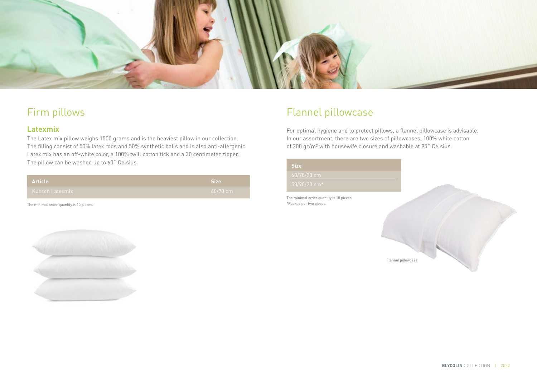

# Firm pillows

## **Latexmix**

The Latex mix pillow weighs 1500 grams and is the heaviest pillow in our collection. The filling consist of 50% latex rods and 50% synthetic balls and is also anti-allergenic. Latex mix has an off-white color, a 100% twill cotton tick and a 30 centimeter zipper. The pillow can be washed up to 60° Celsius.

| <b>Article</b>      | Size       |
|---------------------|------------|
| L Kussen Latexmix 1 | $60/70$ cm |

The minimal order quantity is 10 pieces.

# Flannel pillowcase

For optimal hygiene and to protect pillows, a flannel pillowcase is advisable. In our assortment, there are two sizes of pillowcases, 100% white cotton of 200 gr/m² with housewife closure and washable at 95˚ Celsius.

| <b>Size</b>                                                         |                    |  |
|---------------------------------------------------------------------|--------------------|--|
| 60/70/20 cm                                                         |                    |  |
| 50/90/20 cm*                                                        |                    |  |
| The minimal order quantity is 10 pieces.<br>*Packed per two pieces. |                    |  |
|                                                                     |                    |  |
|                                                                     | Flannel pillowcase |  |